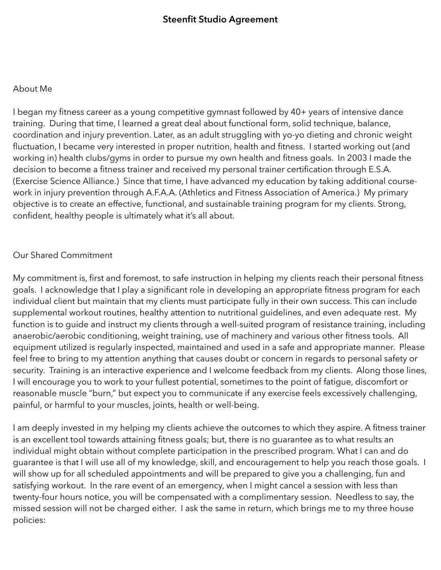## About Me

I began my fitness career as a young competitive gymnast followed by 40+ years of intensive dance training. During that time, I learned a great deal about functional form, solid technique, balance, coordination and injury prevention. Later, as an adult struggling with yo-yo dieting and chronic weight fluctuation, I became very interested in proper nutrition, health and fitness. I started working out (and working in) health clubs/gyms in order to pursue my own health and fitness goals. In 2003 I made the decision to become a fitness trainer and received my personal trainer certification through E.S.A. (Exercise Science Alliance.) Since that time, I have advanced my education by taking additional coursework in injury prevention through A.F.A.A. (Athletics and Fitness Association of America.) My primary objective is to create an effective, functional, and sustainable training program for my clients. Strong, confident, healthy people is ultimately what it's all about.

## Our Shared Commitment

My commitment is, first and foremost, to safe instruction in helping my clients reach their personal fitness goals. I acknowledge that I play a significant role in developing an appropriate fitness program for each individual client but maintain that my clients must participate fully in their own success. This can include supplemental workout routines, healthy attention to nutritional guidelines, and even adequate rest. My function is to guide and instruct my clients through a well-suited program of resistance training, including anaerobic/aerobic conditioning, weight training, use of machinery and various other fitness tools. All equipment utilized is regularly inspected, maintained and used in a safe and appropriate manner. Please feel free to bring to my attention anything that causes doubt or concern in regards to personal safety or security. Training is an interactive experience and I welcome feedback from my clients. Along those lines, I will encourage you to work to your fullest potential, sometimes to the point of fatigue, discomfort or reasonable muscle "burn," but expect you to communicate if any exercise feels excessively challenging, painful, or harmful to your muscles, joints, health or well-being.

I am deeply invested in my helping my clients achieve the outcomes to which they aspire. A fitness trainer is an excellent tool towards attaining fitness goals; but, there is no guarantee as to what results an individual might obtain without complete participation in the prescribed program. What I can and do guarantee is that I will use all of my knowledge, skill, and encouragement to help you reach those goals. I will show up for all scheduled appointments and will be prepared to give you a challenging, fun and satisfying workout. In the rare event of an emergency, when I might cancel a session with less than twenty-four hours notice, you will be compensated with a complimentary session. Needless to say, the missed session will not be charged either. I ask the same in return, which brings me to my three house policies: